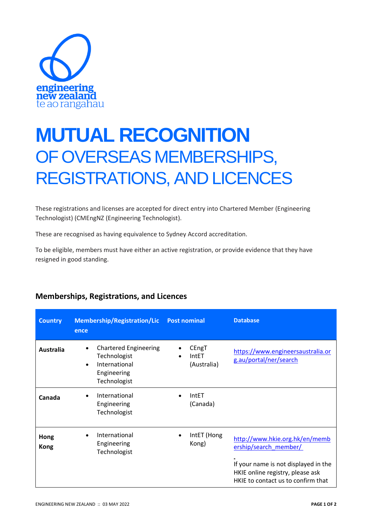

## **MUTUAL RECOGNITION** OF OVERSEAS MEMBERSHIPS, REGISTRATIONS, AND LICENCES

These registrations and licenses are accepted for direct entry into Chartered Member (Engineering Technologist) (CMEngNZ (Engineering Technologist).

These are recognised as having equivalence to Sydney Accord accreditation.

To be eligible, members must have either an active registration, or provide evidence that they have resigned in good standing.

| <b>Country</b>      | <b>Membership/Registration/Lic</b><br>ence                                                                             | <b>Post nominal</b>           | <b>Database</b>                                                                                                                                                           |
|---------------------|------------------------------------------------------------------------------------------------------------------------|-------------------------------|---------------------------------------------------------------------------------------------------------------------------------------------------------------------------|
| <b>Australia</b>    | <b>Chartered Engineering</b><br>$\bullet$<br>Technologist<br>International<br>$\bullet$<br>Engineering<br>Technologist | CEngT<br>IntET<br>(Australia) | https://www.engineersaustralia.or<br>g.au/portal/ner/search                                                                                                               |
| Canada              | International<br>$\bullet$<br>Engineering<br>Technologist                                                              | IntET<br>(Canada)             |                                                                                                                                                                           |
| Hong<br><b>Kong</b> | International<br>$\bullet$<br>Engineering<br>Technologist                                                              | IntET (Hong<br>Kong)          | http://www.hkie.org.hk/en/memb<br>ership/search member/<br>If your name is not displayed in the<br>HKIE online registry, please ask<br>HKIE to contact us to confirm that |

## **Memberships, Registrations, and Licences**